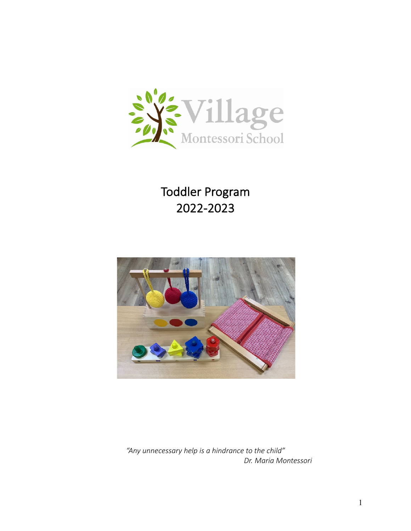

Toddler Program 2022-2023



*"Any unnecessary help is a hindrance to the child" Dr. Maria Montessori*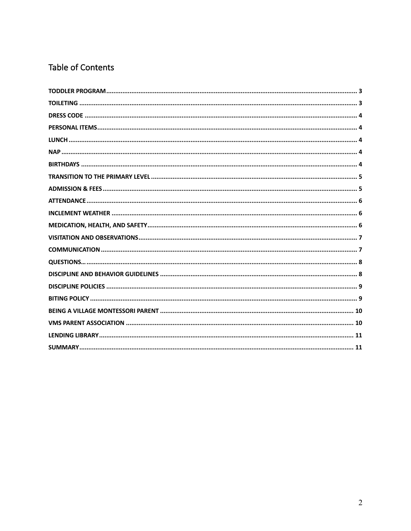# Table of Contents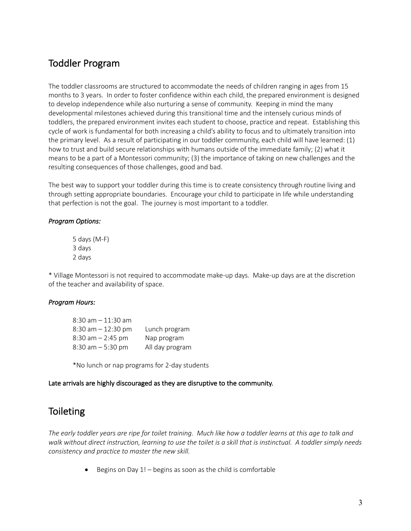### Toddler Program

The toddler classrooms are structured to accommodate the needs of children ranging in ages from 15 months to 3 years. In order to foster confidence within each child, the prepared environment is designed to develop independence while also nurturing a sense of community. Keeping in mind the many developmental milestones achieved during this transitional time and the intensely curious minds of toddlers, the prepared environment invites each student to choose, practice and repeat. Establishing this cycle of work is fundamental for both increasing a child's ability to focus and to ultimately transition into the primary level. As a result of participating in our toddler community, each child will have learned: (1) how to trust and build secure relationships with humans outside of the immediate family; (2) what it means to be a part of a Montessori community; (3) the importance of taking on new challenges and the resulting consequences of those challenges, good and bad.

The best way to support your toddler during this time is to create consistency through routine living and through setting appropriate boundaries. Encourage your child to participate in life while understanding that perfection is not the goal. The journey is most important to a toddler.

#### *Program Options:*

5 days (M-F) 3 days 2 days

\* Village Montessori is not required to accommodate make-up days. Make-up days are at the discretion of the teacher and availability of space.

### *Program Hours:*

| $8:30$ am $-11:30$ am |                 |
|-----------------------|-----------------|
| $8:30$ am $-12:30$ pm | Lunch program   |
| $8:30$ am $- 2:45$ pm | Nap program     |
| $8:30$ am $-5:30$ pm  | All day program |

\*No lunch or nap programs for 2-day students

#### Late arrivals are highly discouraged as they are disruptive to the community.

### **Toileting**

*The early toddler years are ripe for toilet training. Much like how a toddler learns at this age to talk and walk without direct instruction, learning to use the toilet is a skill that is instinctual. A toddler simply needs consistency and practice to master the new skill.*

• Begins on Day 1! – begins as soon as the child is comfortable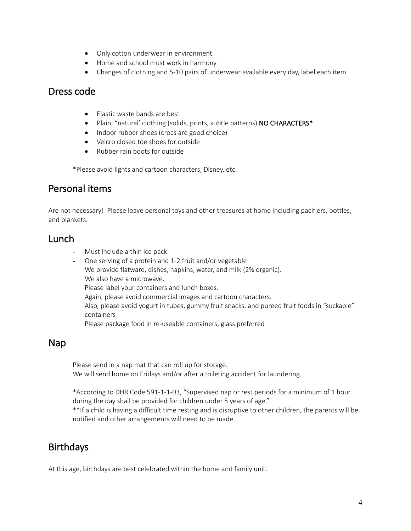- Only cotton underwear in environment
- Home and school must work in harmony
- Changes of clothing and 5-10 pairs of underwear available every day, label each item

### Dress code

- Elastic waste bands are best
- Plain, "natural' clothing (solids, prints, subtle patterns) NO CHARACTERS\*
- Indoor rubber shoes (crocs are good choice)
- Velcro closed toe shoes for outside
- Rubber rain boots for outside

\*Please avoid lights and cartoon characters, Disney, etc.

### Personal items

Are not necessary! Please leave personal toys and other treasures at home including pacifiers, bottles, and blankets.

### Lunch

- Must include a thin ice pack
- One serving of a protein and 1-2 fruit and/or vegetable We provide flatware, dishes, napkins, water, and milk (2% organic). We also have a microwave. Please label your containers and lunch boxes. Again, please avoid commercial images and cartoon characters. Also, please avoid yogurt in tubes, gummy fruit snacks, and pureed fruit foods in "suckable" containers Please package food in re-useable containers, glass preferred

### Nap

Please send in a nap mat that can roll up for storage. We will send home on Fridays and/or after a toileting accident for laundering.

\*According to DHR Code 591-1-1-03, "Supervised nap or rest periods for a minimum of 1 hour during the day shall be provided for children under 5 years of age."

\*\*If a child is having a difficult time resting and is disruptive to other children, the parents will be notified and other arrangements will need to be made.

# Birthdays

At this age, birthdays are best celebrated within the home and family unit.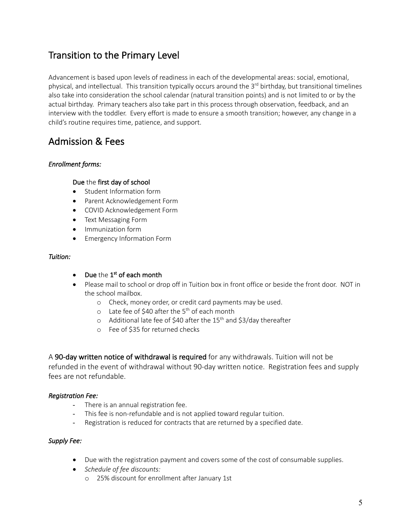# Transition to the Primary Level

Advancement is based upon levels of readiness in each of the developmental areas: social, emotional, physical, and intellectual. This transition typically occurs around the  $3^{rd}$  birthday, but transitional timelines also take into consideration the school calendar (natural transition points) and is not limited to or by the actual birthday. Primary teachers also take part in this process through observation, feedback, and an interview with the toddler. Every effort is made to ensure a smooth transition; however, any change in a child's routine requires time, patience, and support.

# Admission & Fees

### *Enrollment forms:*

#### Due the first day of school

- Student Information form
- Parent Acknowledgement Form
- COVID Acknowledgement Form
- Text Messaging Form
- Immunization form
- Emergency Information Form

#### *Tuition:*

### • Due the  $1<sup>st</sup>$  of each month

- Please mail to school or drop off in Tuition box in front office or beside the front door. NOT in the school mailbox.
	- o Check, money order, or credit card payments may be used.
	- $\circ$  Late fee of \$40 after the 5<sup>th</sup> of each month
	- $\circ$  Additional late fee of \$40 after the 15<sup>th</sup> and \$3/day thereafter
	- o Fee of \$35 for returned checks

A 90-day written notice of withdrawal is required for any withdrawals. Tuition will not be refunded in the event of withdrawal without 90-day written notice. Registration fees and supply fees are not refundable.

### *Registration Fee:*

- There is an annual registration fee.
- This fee is non-refundable and is not applied toward regular tuition.
- Registration is reduced for contracts that are returned by a specified date.

#### *Supply Fee:*

- Due with the registration payment and covers some of the cost of consumable supplies.
- *Schedule of fee discounts:*
	- o 25% discount for enrollment after January 1st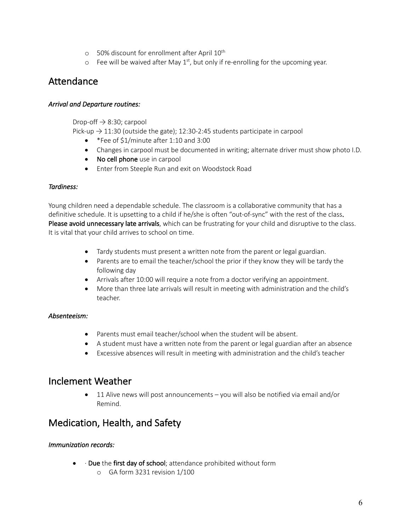- $\circ$  50% discount for enrollment after April 10<sup>th</sup>
- $\circ$  Fee will be waived after May 1<sup>st</sup>, but only if re-enrolling for the upcoming year.

### Attendance

#### *Arrival and Departure routines:*

Drop-off  $\rightarrow$  8:30; carpool

Pick-up  $\rightarrow$  11:30 (outside the gate); 12:30-2:45 students participate in carpool

- \*Fee of \$1/minute after 1:10 and 3:00
- Changes in carpool must be documented in writing; alternate driver must show photo I.D.
- No cell phone use in carpool
- Enter from Steeple Run and exit on Woodstock Road

#### *Tardiness:*

Young children need a dependable schedule. The classroom is a collaborative community that has a definitive schedule. It is upsetting to a child if he/she is often "out-of-sync" with the rest of the class. Please avoid unnecessary late arrivals, which can be frustrating for your child and disruptive to the class. It is vital that your child arrives to school on time.

- Tardy students must present a written note from the parent or legal guardian.
- Parents are to email the teacher/school the prior if they know they will be tardy the following day
- Arrivals after 10:00 will require a note from a doctor verifying an appointment.
- More than three late arrivals will result in meeting with administration and the child's teacher.

### *Absenteeism:*

- Parents must email teacher/school when the student will be absent.
- A student must have a written note from the parent or legal guardian after an absence
- Excessive absences will result in meeting with administration and the child's teacher

### Inclement Weather

• 11 Alive news will post announcements – you will also be notified via email and/or Remind.

### Medication, Health, and Safety

### *Immunization records:*

- $\bullet$   $\cdot$  Due the first day of school; attendance prohibited without form
	- o GA form 3231 revision 1/100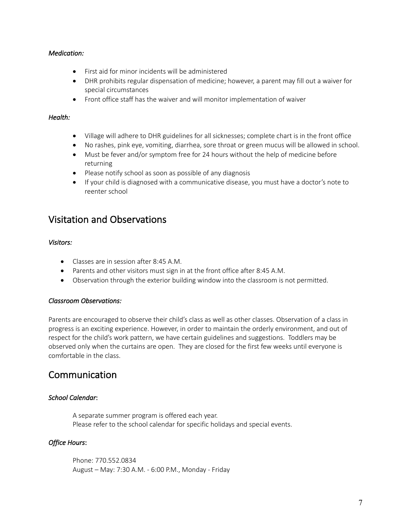#### *Medication:*

- First aid for minor incidents will be administered
- DHR prohibits regular dispensation of medicine; however, a parent may fill out a waiver for special circumstances
- Front office staff has the waiver and will monitor implementation of waiver

#### *Health:*

- Village will adhere to DHR guidelines for all sicknesses; complete chart is in the front office
- No rashes, pink eye, vomiting, diarrhea, sore throat or green mucus will be allowed in school.
- Must be fever and/or symptom free for 24 hours without the help of medicine before returning
- Please notify school as soon as possible of any diagnosis
- If your child is diagnosed with a communicative disease, you must have a doctor's note to reenter school

### Visitation and Observations

#### *Visitors:*

- Classes are in session after 8:45 A.M.
- Parents and other visitors must sign in at the front office after 8:45 A.M.
- Observation through the exterior building window into the classroom is not permitted.

#### *Classroom Observations:*

Parents are encouraged to observe their child's class as well as other classes. Observation of a class in progress is an exciting experience. However, in order to maintain the orderly environment, and out of respect for the child's work pattern, we have certain guidelines and suggestions. Toddlers may be observed only when the curtains are open. They are closed for the first few weeks until everyone is comfortable in the class.

### Communication

### *School Calendar*:

A separate summer program is offered each year. Please refer to the school calendar for specific holidays and special events.

#### *Office Hours*:

Phone: 770.552.0834 August – May: 7:30 A.M. - 6:00 P.M., Monday - Friday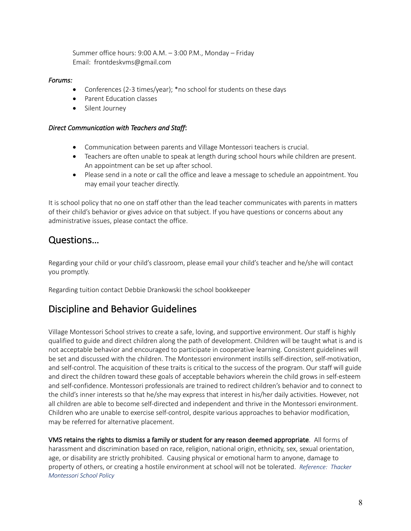Summer office hours: 9:00 A.M. – 3:00 P.M., Monday – Friday Email: frontdeskvms@gmail.com

#### *Forums:*

- Conferences (2-3 times/year); \*no school for students on these days
- Parent Education classes
- Silent Journey

#### *Direct Communication with Teachers and Staff*:

- Communication between parents and Village Montessori teachers is crucial.
- Teachers are often unable to speak at length during school hours while children are present. An appointment can be set up after school.
- Please send in a note or call the office and leave a message to schedule an appointment. You may email your teacher directly.

It is school policy that no one on staff other than the lead teacher communicates with parents in matters of their child's behavior or gives advice on that subject. If you have questions or concerns about any administrative issues, please contact the office.

### Questions…

Regarding your child or your child's classroom, please email your child's teacher and he/she will contact you promptly.

Regarding tuition contact Debbie Drankowski the school bookkeeper

### Discipline and Behavior Guidelines

Village Montessori School strives to create a safe, loving, and supportive environment. Our staff is highly qualified to guide and direct children along the path of development. Children will be taught what is and is not acceptable behavior and encouraged to participate in cooperative learning. Consistent guidelines will be set and discussed with the children. The Montessori environment instills self-direction, self-motivation, and self-control. The acquisition of these traits is critical to the success of the program. Our staff will guide and direct the children toward these goals of acceptable behaviors wherein the child grows in self-esteem and self-confidence. Montessori professionals are trained to redirect children's behavior and to connect to the child's inner interests so that he/she may express that interest in his/her daily activities. However, not all children are able to become self-directed and independent and thrive in the Montessori environment. Children who are unable to exercise self-control, despite various approaches to behavior modification, may be referred for alternative placement.

VMS retains the rights to dismiss a family or student for any reason deemed appropriate. All forms of harassment and discrimination based on race, religion, national origin, ethnicity, sex, sexual orientation, age, or disability are strictly prohibited. Causing physical or emotional harm to anyone, damage to property of others, or creating a hostile environment at school will not be tolerated. *Reference: Thacker Montessori School Policy*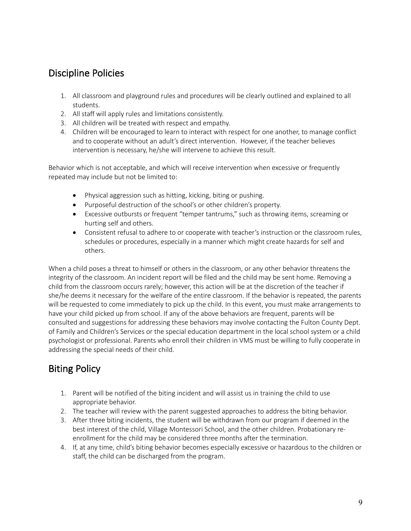## Discipline Policies

- 1. All classroom and playground rules and procedures will be clearly outlined and explained to all students.
- 2. All staff will apply rules and limitations consistently.
- 3. All children will be treated with respect and empathy.
- 4. Children will be encouraged to learn to interact with respect for one another, to manage conflict and to cooperate without an adult's direct intervention. However, if the teacher believes intervention is necessary, he/she will intervene to achieve this result.

Behavior which is not acceptable, and which will receive intervention when excessive or frequently repeated may include but not be limited to:

- Physical aggression such as hitting, kicking, biting or pushing.
- Purposeful destruction of the school's or other children's property.
- Excessive outbursts or frequent "temper tantrums," such as throwing items, screaming or hurting self and others.
- Consistent refusal to adhere to or cooperate with teacher's instruction or the classroom rules, schedules or procedures, especially in a manner which might create hazards for self and others.

When a child poses a threat to himself or others in the classroom, or any other behavior threatens the integrity of the classroom. An incident report will be filed and the child may be sent home. Removing a child from the classroom occurs rarely; however, this action will be at the discretion of the teacher if she/he deems it necessary for the welfare of the entire classroom. If the behavior is repeated, the parents will be requested to come immediately to pick up the child. In this event, you must make arrangements to have your child picked up from school. If any of the above behaviors are frequent, parents will be consulted and suggestions for addressing these behaviors may involve contacting the Fulton County Dept. of Family and Children's Services or the special education department in the local school system or a child psychologist or professional. Parents who enroll their children in VMS must be willing to fully cooperate in addressing the special needs of their child.

# Biting Policy

- 1. Parent will be notified of the biting incident and will assist us in training the child to use appropriate behavior.
- 2. The teacher will review with the parent suggested approaches to address the biting behavior.
- 3. After three biting incidents, the student will be withdrawn from our program if deemed in the best interest of the child, Village Montessori School, and the other children. Probationary reenrollment for the child may be considered three months after the termination.
- 4. If, at any time, child's biting behavior becomes especially excessive or hazardous to the children or staff, the child can be discharged from the program.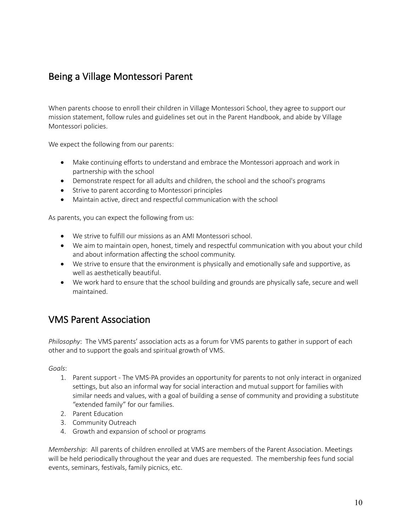## Being a Village Montessori Parent

When parents choose to enroll their children in Village Montessori School, they agree to support our mission statement, follow rules and guidelines set out in the Parent Handbook, and abide by Village Montessori policies.

We expect the following from our parents:

- Make continuing efforts to understand and embrace the Montessori approach and work in partnership with the school
- Demonstrate respect for all adults and children, the school and the school's programs
- Strive to parent according to Montessori principles
- Maintain active, direct and respectful communication with the school

As parents, you can expect the following from us:

- We strive to fulfill our missions as an AMI Montessori school.
- We aim to maintain open, honest, timely and respectful communication with you about your child and about information affecting the school community.
- We strive to ensure that the environment is physically and emotionally safe and supportive, as well as aesthetically beautiful.
- We work hard to ensure that the school building and grounds are physically safe, secure and well maintained.

### VMS Parent Association

*Philosophy*: The VMS parents' association acts as a forum for VMS parents to gather in support of each other and to support the goals and spiritual growth of VMS.

*Goals*:

- 1. Parent support The VMS-PA provides an opportunity for parents to not only interact in organized settings, but also an informal way for social interaction and mutual support for families with similar needs and values, with a goal of building a sense of community and providing a substitute "extended family" for our families.
- 2. Parent Education
- 3. Community Outreach
- 4. Growth and expansion of school or programs

*Membership*: All parents of children enrolled at VMS are members of the Parent Association. Meetings will be held periodically throughout the year and dues are requested. The membership fees fund social events, seminars, festivals, family picnics, etc.